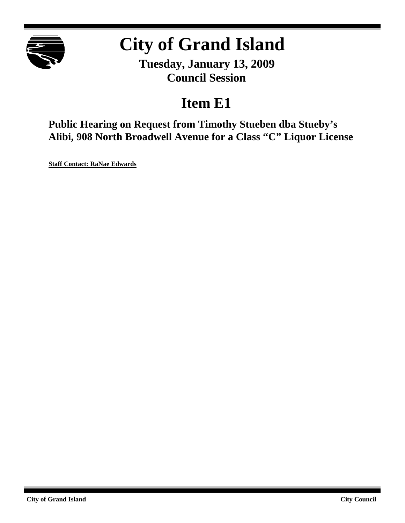

# **City of Grand Island**

**Tuesday, January 13, 2009 Council Session**

## **Item E1**

**Public Hearing on Request from Timothy Stueben dba Stueby's Alibi, 908 North Broadwell Avenue for a Class "C" Liquor License**

**Staff Contact: RaNae Edwards**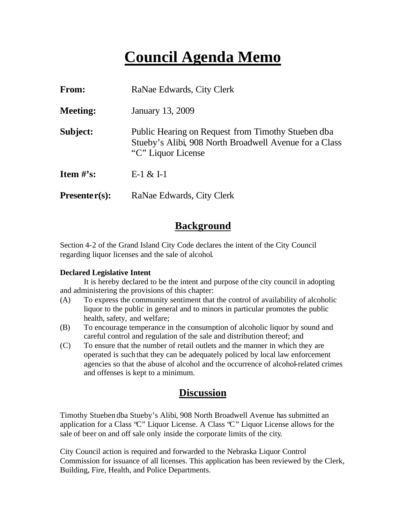## **Council Agenda Memo**

| From:                          | RaNae Edwards, City Clerk                                                                                                          |
|--------------------------------|------------------------------------------------------------------------------------------------------------------------------------|
| <b>Meeting:</b>                | January 13, 2009                                                                                                                   |
| Subject:                       | Public Hearing on Request from Timothy Stueben dba<br>Stueby's Alibi, 908 North Broadwell Avenue for a Class<br>"C" Liquor License |
| <b>Item <math>\#</math>'s:</b> | $E-1 & 1-1$                                                                                                                        |
| $Presenter(s):$                | RaNae Edwards, City Clerk                                                                                                          |

## **Background**

Section 4-2 of the Grand Island City Code declares the intent of the City Council regarding liquor licenses and the sale of alcohol.

#### **Declared Legislative Intent**

It is hereby declared to be the intent and purpose of the city council in adopting and administering the provisions of this chapter:

- (A) To express the community sentiment that the control of availability of alcoholic liquor to the public in general and to minors in particular promotes the public health, safety, and welfare;
- (B) To encourage temperance in the consumption of alcoholic liquor by sound and careful control and regulation of the sale and distribution thereof; and
- (C) To ensure that the number of retail outlets and the manner in which they are operated is such that they can be adequately policed by local law enforcement agencies so that the abuse of alcohol and the occurrence of alcohol-related crimes and offenses is kept to a minimum.

### **Discussion**

Timothy Stueben dba Stueby's Alibi, 908 North Broadwell Avenue has submitted an application for a Class "C" Liquor License. A Class "C" Liquor License allows for the sale of beer on and off sale only inside the corporate limits of the city.

City Council action is required and forwarded to the Nebraska Liquor Control Commission for issuance of all licenses. This application has been reviewed by the Clerk, Building, Fire, Health, and Police Departments.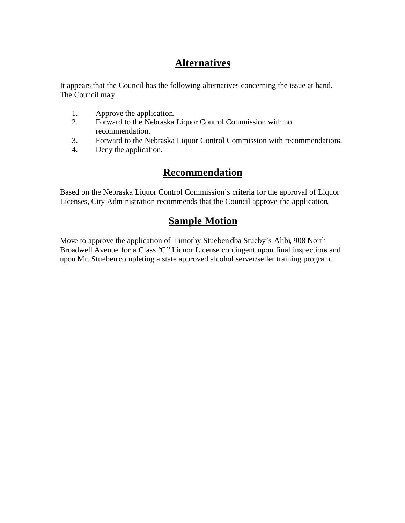## **Alternatives**

It appears that the Council has the following alternatives concerning the issue at hand. The Council may:

- 1. Approve the application.
- 2. Forward to the Nebraska Liquor Control Commission with no recommendation.
- 3. Forward to the Nebraska Liquor Control Commission with recommendations.
- 4. Deny the application.

### **Recommendation**

Based on the Nebraska Liquor Control Commission's criteria for the approval of Liquor Licenses, City Administration recommends that the Council approve the application.

## **Sample Motion**

Move to approve the application of Timothy Stueben dba Stueby's Alibi, 908 North Broadwell Avenue for a Class 'C'' Liquor License contingent upon final inspections and upon Mr. Stueben completing a state approved alcohol server/seller training program.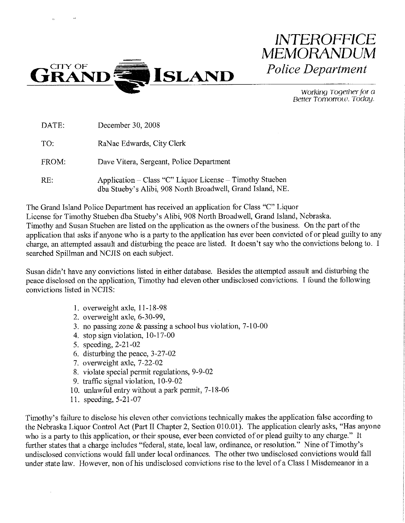

**Police Department** Working Together for a Better Tomorrow. Today.

**INTEROFFICE** 

MEMORANDUM

| DATE: | December 30, 2008                                                                                                      |
|-------|------------------------------------------------------------------------------------------------------------------------|
| TO.   | RaNae Edwards, City Clerk                                                                                              |
| FROM: | Dave Vitera, Sergeant, Police Department                                                                               |
| RE:   | Application – Class "C" Liquor License – Timothy Stueben<br>dba Stueby's Alibi, 908 North Broadwell, Grand Island, NE. |

The Grand Island Police Department has received an application for Class "C" Liquor License for Timothy Stueben dba Stueby's Alibi, 908 North Broadwell, Grand Island, Nebraska. Timothy and Susan Stueben are listed on the application as the owners of the business. On the part of the application that asks if anyone who is a party to the application has ever been convicted of or plead guilty to any charge, an attempted assault and disturbing the peace are listed. It doesn't say who the convictions belong to. I searched Spillman and NCJIS on each subject.

Susan didn't have any convictions listed in either database. Besides the attempted assault and disturbing the peace disclosed on the application, Timothy had eleven other undisclosed convictions. I found the following convictions listed in NCJIS:

- 1. overweight axle, 11-18-98
- 2. overweight axle, 6-30-99,
- 3. no passing zone  $\&$  passing a school bus violation, 7-10-00
- 4. stop sign violation, 10-17-00
- 5. speeding, 2-21-02
- 6. disturbing the peace, 3-27-02
- 7. overweight axle, 7-22-02
- 8. violate special permit regulations, 9-9-02
- 9. traffic signal violation, 10-9-02
- 10. unlawful entry without a park permit, 7-18-06
- 11. speeding, 5-21-07

Timothy's failure to disclose his eleven other convictions technically makes the application false according to the Nebraska Liquor Control Act (Part II Chapter 2, Section 010.01). The application clearly asks, "Has anyone who is a party to this application, or their spouse, ever been convicted of or plead guilty to any charge." It further states that a charge includes "federal, state, local law, ordinance, or resolution." Nine of Timothy's undisclosed convictions would fall under local ordinances. The other two undisclosed convictions would fall under state law. However, non of his undisclosed convictions rise to the level of a Class I Misdemeanor in a